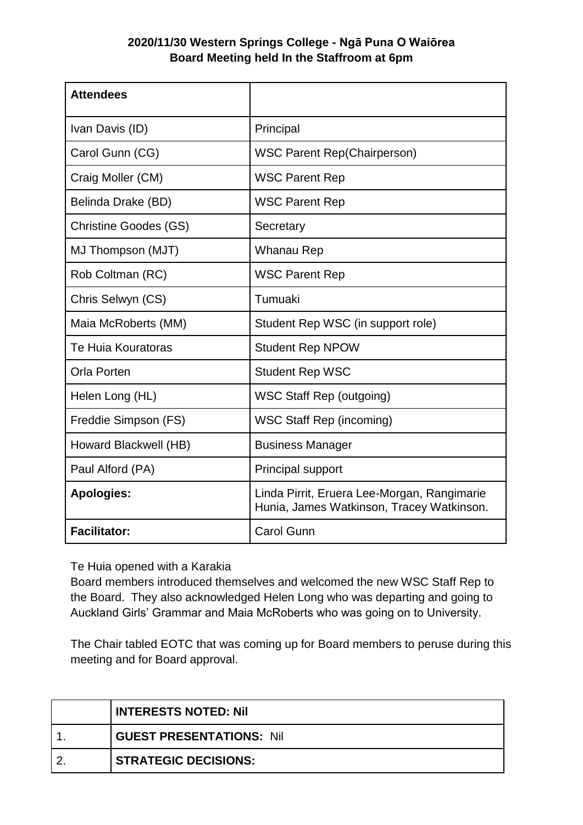## **2020/11/30 Western Springs College - Ngā Puna O Waiōrea Board Meeting held In the Staffroom at 6pm**

| <b>Attendees</b>             |                                                                                          |
|------------------------------|------------------------------------------------------------------------------------------|
| Ivan Davis (ID)              | Principal                                                                                |
| Carol Gunn (CG)              | <b>WSC Parent Rep(Chairperson)</b>                                                       |
| Craig Moller (CM)            | <b>WSC Parent Rep</b>                                                                    |
| Belinda Drake (BD)           | <b>WSC Parent Rep</b>                                                                    |
| <b>Christine Goodes (GS)</b> | Secretary                                                                                |
| MJ Thompson (MJT)            | Whanau Rep                                                                               |
| Rob Coltman (RC)             | <b>WSC Parent Rep</b>                                                                    |
| Chris Selwyn (CS)            | Tumuaki                                                                                  |
| Maia McRoberts (MM)          | Student Rep WSC (in support role)                                                        |
| Te Huia Kouratoras           | <b>Student Rep NPOW</b>                                                                  |
| <b>Orla Porten</b>           | <b>Student Rep WSC</b>                                                                   |
| Helen Long (HL)              | <b>WSC Staff Rep (outgoing)</b>                                                          |
| Freddie Simpson (FS)         | <b>WSC Staff Rep (incoming)</b>                                                          |
| Howard Blackwell (HB)        | <b>Business Manager</b>                                                                  |
| Paul Alford (PA)             | <b>Principal support</b>                                                                 |
| <b>Apologies:</b>            | Linda Pirrit, Eruera Lee-Morgan, Rangimarie<br>Hunia, James Watkinson, Tracey Watkinson. |
| <b>Facilitator:</b>          | <b>Carol Gunn</b>                                                                        |

Te Huia opened with a Karakia

Board members introduced themselves and welcomed the new WSC Staff Rep to the Board. They also acknowledged Helen Long who was departing and going to Auckland Girls' Grammar and Maia McRoberts who was going on to University.

The Chair tabled EOTC that was coming up for Board members to peruse during this meeting and for Board approval.

| I INTERESTS NOTED: Nil          |
|---------------------------------|
| <b>GUEST PRESENTATIONS: Nil</b> |
| <b>STRATEGIC DECISIONS:</b>     |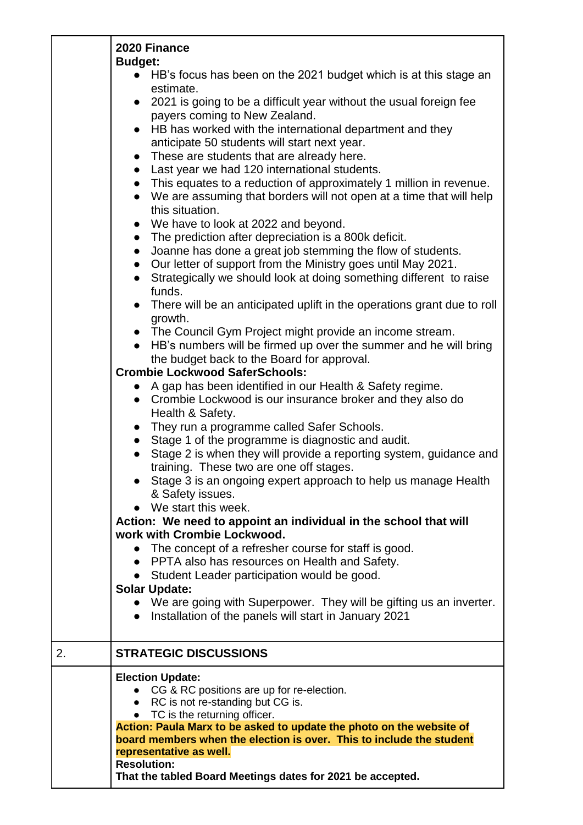|    | 2020 Finance<br><b>Budget:</b>                                                                                                                                                         |
|----|----------------------------------------------------------------------------------------------------------------------------------------------------------------------------------------|
|    | • HB's focus has been on the 2021 budget which is at this stage an<br>estimate.                                                                                                        |
|    | • 2021 is going to be a difficult year without the usual foreign fee<br>payers coming to New Zealand.                                                                                  |
|    | HB has worked with the international department and they<br>$\bullet$<br>anticipate 50 students will start next year.                                                                  |
|    | These are students that are already here.<br>$\bullet$                                                                                                                                 |
|    | Last year we had 120 international students.<br>$\bullet$                                                                                                                              |
|    | This equates to a reduction of approximately 1 million in revenue.<br>$\bullet$<br>We are assuming that borders will not open at a time that will help<br>$\bullet$<br>this situation. |
|    | We have to look at 2022 and beyond.<br>$\bullet$                                                                                                                                       |
|    | The prediction after depreciation is a 800k deficit.<br>$\bullet$                                                                                                                      |
|    | Joanne has done a great job stemming the flow of students.<br>$\bullet$                                                                                                                |
|    | • Our letter of support from the Ministry goes until May 2021.<br>Strategically we should look at doing something different to raise<br>$\bullet$<br>funds.                            |
|    | There will be an anticipated uplift in the operations grant due to roll<br>growth.                                                                                                     |
|    | • The Council Gym Project might provide an income stream.                                                                                                                              |
|    | HB's numbers will be firmed up over the summer and he will bring                                                                                                                       |
|    | the budget back to the Board for approval.                                                                                                                                             |
|    | <b>Crombie Lockwood SaferSchools:</b><br>• A gap has been identified in our Health & Safety regime.                                                                                    |
|    | Crombie Lockwood is our insurance broker and they also do<br>Health & Safety.                                                                                                          |
|    | They run a programme called Safer Schools.                                                                                                                                             |
|    | Stage 1 of the programme is diagnostic and audit.                                                                                                                                      |
|    | Stage 2 is when they will provide a reporting system, guidance and                                                                                                                     |
|    | training. These two are one off stages.<br>• Stage 3 is an ongoing expert approach to help us manage Health                                                                            |
|    | & Safety issues.<br>We start this week.                                                                                                                                                |
|    | Action: We need to appoint an individual in the school that will                                                                                                                       |
|    | work with Crombie Lockwood.                                                                                                                                                            |
|    | The concept of a refresher course for staff is good.<br>$\bullet$                                                                                                                      |
|    | • PPTA also has resources on Health and Safety.                                                                                                                                        |
|    | • Student Leader participation would be good.                                                                                                                                          |
|    | <b>Solar Update:</b><br>• We are going with Superpower. They will be gifting us an inverter.<br>Installation of the panels will start in January 2021                                  |
| 2. | <b>STRATEGIC DISCUSSIONS</b>                                                                                                                                                           |
|    | <b>Election Update:</b>                                                                                                                                                                |
|    | CG & RC positions are up for re-election.                                                                                                                                              |
|    | • RC is not re-standing but CG is.<br>• TC is the returning officer.                                                                                                                   |
|    | Action: Paula Marx to be asked to update the photo on the website of                                                                                                                   |
|    | board members when the election is over. This to include the student                                                                                                                   |
|    | representative as well.                                                                                                                                                                |
|    | <b>Resolution:</b><br>That the tabled Board Meetings dates for 2021 be accepted.                                                                                                       |
|    |                                                                                                                                                                                        |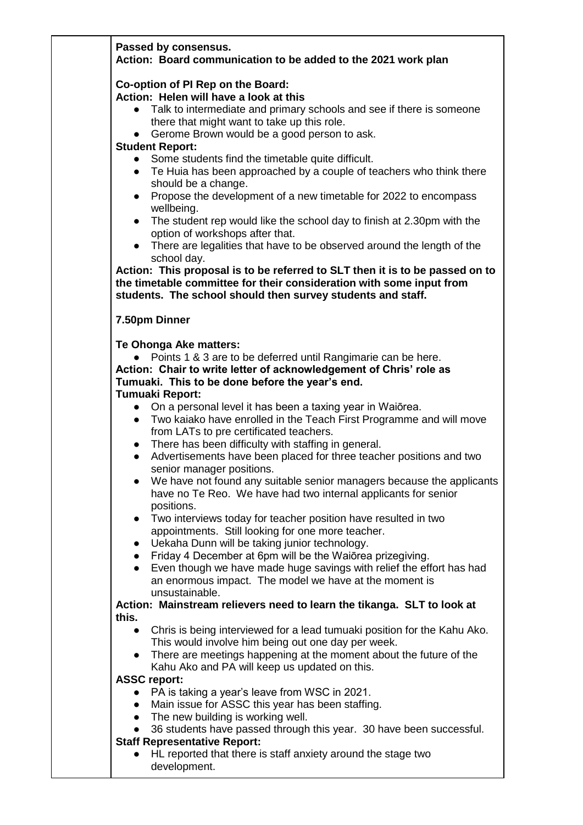|                                                               | Passed by consensus.<br>Action: Board communication to be added to the 2021 work plan                                                                                                                                                                                                                                                                                                                                                                                                                                                                                                                                                                                                                                                                                                                                                                                                                                                                                                                                                                                                                           |
|---------------------------------------------------------------|-----------------------------------------------------------------------------------------------------------------------------------------------------------------------------------------------------------------------------------------------------------------------------------------------------------------------------------------------------------------------------------------------------------------------------------------------------------------------------------------------------------------------------------------------------------------------------------------------------------------------------------------------------------------------------------------------------------------------------------------------------------------------------------------------------------------------------------------------------------------------------------------------------------------------------------------------------------------------------------------------------------------------------------------------------------------------------------------------------------------|
| $\bullet$<br>$\bullet$                                        | Co-option of PI Rep on the Board:<br>Action: Helen will have a look at this<br>Talk to intermediate and primary schools and see if there is someone<br>there that might want to take up this role.<br>Gerome Brown would be a good person to ask.                                                                                                                                                                                                                                                                                                                                                                                                                                                                                                                                                                                                                                                                                                                                                                                                                                                               |
| $\bullet$<br>$\bullet$                                        | <b>Student Report:</b><br>Some students find the timetable quite difficult.<br>• Te Huia has been approached by a couple of teachers who think there<br>should be a change.<br>• Propose the development of a new timetable for 2022 to encompass<br>wellbeing.<br>The student rep would like the school day to finish at 2.30pm with the<br>option of workshops after that.<br>There are legalities that have to be observed around the length of the<br>school day.<br>Action: This proposal is to be referred to SLT then it is to be passed on to<br>the timetable committee for their consideration with some input from<br>students. The school should then survey students and staff.                                                                                                                                                                                                                                                                                                                                                                                                                    |
|                                                               | 7.50pm Dinner                                                                                                                                                                                                                                                                                                                                                                                                                                                                                                                                                                                                                                                                                                                                                                                                                                                                                                                                                                                                                                                                                                   |
| $\bullet$<br>$\bullet$<br>$\bullet$<br>$\bullet$<br>$\bullet$ | Te Ohonga Ake matters:<br>Points 1 & 3 are to be deferred until Rangimarie can be here.<br>Action: Chair to write letter of acknowledgement of Chris' role as<br>Tumuaki. This to be done before the year's end.<br>Tumuaki Report:<br>• On a personal level it has been a taxing year in Waiōrea.<br>Two kaiako have enrolled in the Teach First Programme and will move<br>from LATs to pre certificated teachers.<br>There has been difficulty with staffing in general.<br>Advertisements have been placed for three teacher positions and two<br>senior manager positions.<br>We have not found any suitable senior managers because the applicants<br>have no Te Reo. We have had two internal applicants for senior<br>positions.<br>Two interviews today for teacher position have resulted in two<br>appointments. Still looking for one more teacher.<br>Uekaha Dunn will be taking junior technology.<br>Friday 4 December at 6pm will be the Waiorea prizegiving.<br>Even though we have made huge savings with relief the effort has had<br>an enormous impact. The model we have at the moment is |
|                                                               | unsustainable.<br>Action: Mainstream relievers need to learn the tikanga. SLT to look at                                                                                                                                                                                                                                                                                                                                                                                                                                                                                                                                                                                                                                                                                                                                                                                                                                                                                                                                                                                                                        |
| this.<br>$\bullet$<br>$\bullet$<br>$\bullet$                  | Chris is being interviewed for a lead tumuaki position for the Kahu Ako.<br>This would involve him being out one day per week.<br>There are meetings happening at the moment about the future of the<br>Kahu Ako and PA will keep us updated on this.<br><b>ASSC report:</b><br>PA is taking a year's leave from WSC in 2021.<br>Main issue for ASSC this year has been staffing.                                                                                                                                                                                                                                                                                                                                                                                                                                                                                                                                                                                                                                                                                                                               |
| $\bullet$<br>$\bullet$                                        | The new building is working well.<br>36 students have passed through this year. 30 have been successful.<br><b>Staff Representative Report:</b><br>HL reported that there is staff anxiety around the stage two<br>development.                                                                                                                                                                                                                                                                                                                                                                                                                                                                                                                                                                                                                                                                                                                                                                                                                                                                                 |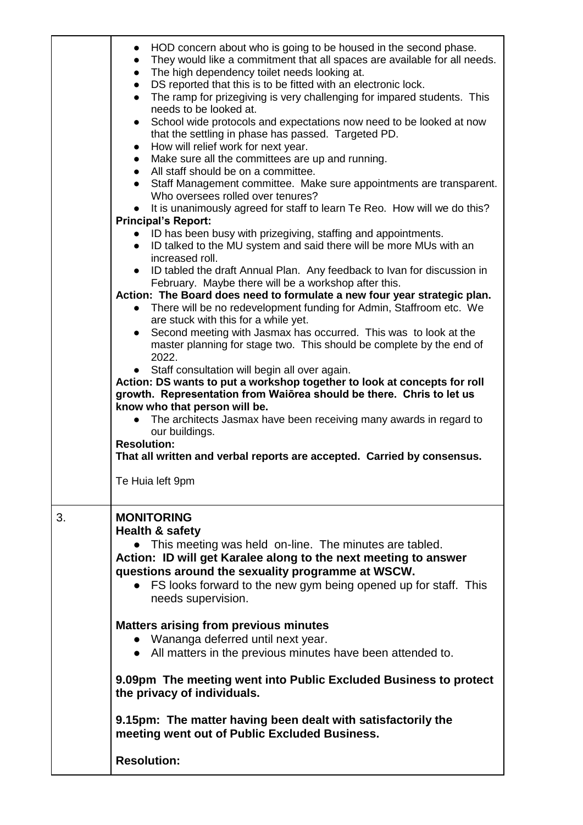|    | HOD concern about who is going to be housed in the second phase.<br>$\bullet$<br>They would like a commitment that all spaces are available for all needs.<br>$\bullet$<br>The high dependency toilet needs looking at.<br>$\bullet$<br>DS reported that this is to be fitted with an electronic lock.<br>$\bullet$<br>The ramp for prizegiving is very challenging for impared students. This<br>$\bullet$<br>needs to be looked at.<br>School wide protocols and expectations now need to be looked at now<br>$\bullet$<br>that the settling in phase has passed. Targeted PD.<br>How will relief work for next year.<br>$\bullet$<br>Make sure all the committees are up and running.<br>$\bullet$<br>All staff should be on a committee.<br>• Staff Management committee. Make sure appointments are transparent.<br>Who oversees rolled over tenures?<br>It is unanimously agreed for staff to learn Te Reo. How will we do this?<br><b>Principal's Report:</b><br>ID has been busy with prizegiving, staffing and appointments.<br>ID talked to the MU system and said there will be more MUs with an<br>$\bullet$<br>increased roll.<br>ID tabled the draft Annual Plan. Any feedback to Ivan for discussion in<br>February. Maybe there will be a workshop after this.<br>Action: The Board does need to formulate a new four year strategic plan.<br>• There will be no redevelopment funding for Admin, Staffroom etc. We<br>are stuck with this for a while yet.<br>• Second meeting with Jasmax has occurred. This was to look at the<br>master planning for stage two. This should be complete by the end of<br>2022.<br>Staff consultation will begin all over again.<br>Action: DS wants to put a workshop together to look at concepts for roll<br>growth. Representation from Waiōrea should be there. Chris to let us<br>know who that person will be.<br>• The architects Jasmax have been receiving many awards in regard to<br>our buildings.<br><b>Resolution:</b><br>That all written and verbal reports are accepted. Carried by consensus.<br>Te Huia left 9pm |
|----|-----------------------------------------------------------------------------------------------------------------------------------------------------------------------------------------------------------------------------------------------------------------------------------------------------------------------------------------------------------------------------------------------------------------------------------------------------------------------------------------------------------------------------------------------------------------------------------------------------------------------------------------------------------------------------------------------------------------------------------------------------------------------------------------------------------------------------------------------------------------------------------------------------------------------------------------------------------------------------------------------------------------------------------------------------------------------------------------------------------------------------------------------------------------------------------------------------------------------------------------------------------------------------------------------------------------------------------------------------------------------------------------------------------------------------------------------------------------------------------------------------------------------------------------------------------------------------------------------------------------------------------------------------------------------------------------------------------------------------------------------------------------------------------------------------------------------------------------------------------------------------------------------------------------------------------------------------------------------------------------------------------------------------------------------------------------------------------------|
| 3. | <b>MONITORING</b><br>Health & safety<br>This meeting was held on-line. The minutes are tabled.<br>Action: ID will get Karalee along to the next meeting to answer<br>questions around the sexuality programme at WSCW.<br>FS looks forward to the new gym being opened up for staff. This<br>needs supervision.<br><b>Matters arising from previous minutes</b><br>• Wananga deferred until next year.<br>• All matters in the previous minutes have been attended to.<br>9.09pm The meeting went into Public Excluded Business to protect<br>the privacy of individuals.<br>9.15pm: The matter having been dealt with satisfactorily the<br>meeting went out of Public Excluded Business.<br><b>Resolution:</b>                                                                                                                                                                                                                                                                                                                                                                                                                                                                                                                                                                                                                                                                                                                                                                                                                                                                                                                                                                                                                                                                                                                                                                                                                                                                                                                                                                        |